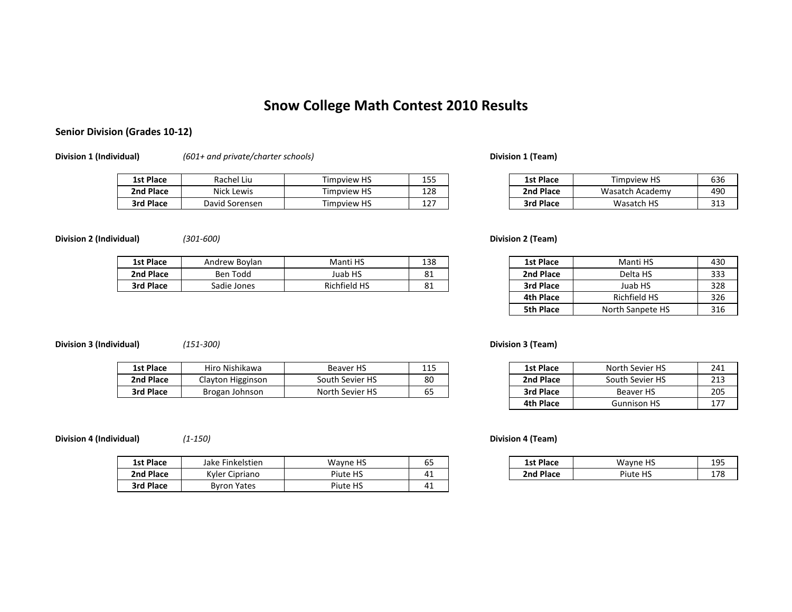# **Snow College Math Contest 2010 Results**

## **Senior Division (Grades 10‐12)**

**Division 1 (Individual)** *(601+ and private/charter schools)* **Division 1 (Team)**

| <b>1st Place</b> | Rachel Liu      | <b>Timpview HS</b> | 1 C C<br>--<br>∸∽ | <b>1st Place</b> | $\cdots$<br>Timpview HS | 636         |
|------------------|-----------------|--------------------|-------------------|------------------|-------------------------|-------------|
| Place<br>2nd     | Nick<br>: Lewis | Timpview HS        | 128               | 2nd Place        | Wasatch .<br>. Academv  | 490         |
| 3rd Place        | David Sorensen  | <b>Timpview HS</b> | .<br>ᅭᄼ           | Place<br>3rd     | Wasatch HS              | 211<br>ت⊥ ت |

| u    | Timpview HS        | 155 | <b>1st Place</b> | Timpview HS     | 636        |
|------|--------------------|-----|------------------|-----------------|------------|
| s    | <b>Timpview HS</b> | 128 | 2nd Place        | Wasatch Academy | 490        |
| ısen | <b>Timpview HS</b> | ᅩ᠘  | <b>3rd Place</b> | Wasatch HS      | 212<br>د⊥د |

**Division 2 (Individual)** *(301‐600)* **Division 2 (Team)**

| <b>1st Place</b> | Andrew Boylan | Manti HS            | 138                         | <b>1st Place</b> | Manti HS | 430        |
|------------------|---------------|---------------------|-----------------------------|------------------|----------|------------|
| 2nd Place        | Ben Todd      | Juab HS             | O <sub>1</sub><br><b>81</b> | 2nd Place        | Delta HS | ววว<br>JJ. |
| 3rd Place        | Sadie Jones   | <b>Richfield HS</b> | 81                          | 3rd Place        | Juab HS  | 328        |

**Division 3 (Individual)** *(151‐300)* **Division 3 (Team)**

| 1st Place | Hiro Nishikawa       | <b>Beaver HS</b> | 11 C<br>ᆂᆂᆓ         | 1st Place | North Sevier HS  | 241 |
|-----------|----------------------|------------------|---------------------|-----------|------------------|-----|
| 2nd Place | Higginson<br>Clavton | South Sevier HS  | 80                  | 2nd Place | South Sevier HS  | 213 |
| 3rd Place | Brogan Johnson       | North Sevier HS  | $\sim$ $\sim$<br>ხ5 | 3rd Place | <b>Beaver HS</b> | 205 |

**Division 4 (Individual)** *(1‐150)* **Division 4 (Team)**

| 1st Place | Finkelstien<br>Jake   | Wayne HS | ხჂ        | <b>1st Place</b> | Wayne HS | 195<br>∸~ |
|-----------|-----------------------|----------|-----------|------------------|----------|-----------|
| 2nd Place | Kyler Cir<br>Cipriano | Piute HS | 4<br>T .L | 2nd<br>l Place   | Piute HS | 178       |
| 3rd Place | <b>Byron Yates</b>    | Piute HS | 4<br>т.   |                  |          |           |

| vlan | Manti HS            | 138 | <b>1st Place</b> | Manti HS         | 430 |
|------|---------------------|-----|------------------|------------------|-----|
|      | Juab HS             | 81  | 2nd Place        | Delta HS         | 333 |
| es   | <b>Richfield HS</b> | 81  | 3rd Place        | Juab HS          | 328 |
|      |                     |     | 4th Place        | Richfield HS     | 326 |
|      |                     |     | 5th Place        | North Sanpete HS | 316 |

| 5 | 1st Place | North Sevier HS    | 241 |
|---|-----------|--------------------|-----|
|   | 2nd Place | South Sevier HS    | 213 |
|   | 3rd Place | Beaver HS          | 205 |
|   | 4th Place | <b>Gunnison HS</b> | 177 |

| n | <b>Wavne HS</b>         | $-$<br>כס            | <b>1st Place</b>            | Wayne HS             | 105<br>ᅩJJ        |
|---|-------------------------|----------------------|-----------------------------|----------------------|-------------------|
|   | H <sub>S</sub><br>Piute | $\mathbf{A}$<br>T .L | <sup>1</sup> Place<br>2nd . | Piute<br>பெ<br>- 110 | 178<br><b>. .</b> |